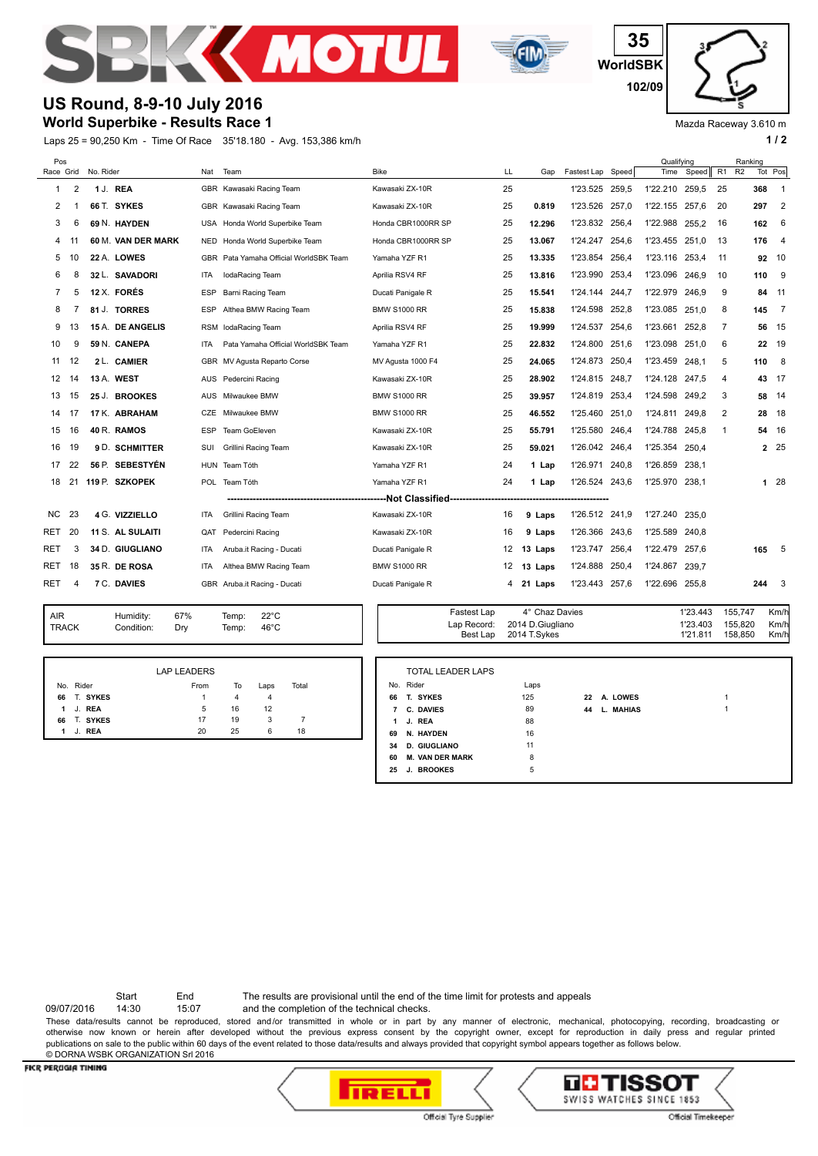



**WorldSBK 35 102/09**

Mazda Raceway 3.610 m

## **World Superbike - Results Race 1 US Round, 8-9-10 July 2016**

Laps 25 = 90,250 Km - Time Of Race 35'18.180 - Avg. 153,386 km/h **1 / 2 1 / 2** 

| Pos        |                |                                    |                         |            |                                                    |                     |                                               |                                                    |                |       | Qualifying     |                                  |                | Ranking            |                         |
|------------|----------------|------------------------------------|-------------------------|------------|----------------------------------------------------|---------------------|-----------------------------------------------|----------------------------------------------------|----------------|-------|----------------|----------------------------------|----------------|--------------------|-------------------------|
| Race Grid  |                | No. Rider                          |                         | Nat        | Team                                               | <b>Bike</b>         | LL                                            | Gap                                                | Fastest Lap    | Speed | Time           | Speed                            | R1             | R2                 | Tot Pos                 |
| 1          | $\overline{2}$ |                                    | 1 J. REA                |            | GBR Kawasaki Racing Team                           | Kawasaki ZX-10R     | 25                                            |                                                    | 1'23.525       | 259,5 | 1'22.210       | 259.5                            | 25             | 368                | -1                      |
| 2          |                |                                    | 66 T. SYKES             |            | GBR Kawasaki Racing Team                           | Kawasaki ZX-10R     | 25                                            | 0.819                                              | 1'23.526       | 257.0 | 1'22.155 257.6 |                                  | 20             | 297                | $\overline{2}$          |
| 3          | 6              |                                    | 69 N. HAYDEN            |            | USA Honda World Superbike Team                     | Honda CBR1000RR SP  | 25                                            | 12.296                                             | 1'23.832       | 256,4 | 1'22.988       | 255.2                            | 16             | 162                | 6                       |
| 4          | 11             |                                    | 60 M. VAN DER MARK      | NED        | Honda World Superbike Team                         | Honda CBR1000RR SP  | 25                                            | 13.067                                             | 1'24.247 254.6 |       | 1'23.455 251.0 |                                  | 13             | 176                | $\overline{4}$          |
| 5          | 10             |                                    | 22 A. LOWES             |            | GBR Pata Yamaha Official WorldSBK Team             | Yamaha YZF R1       | 25                                            | 13.335                                             | 1'23.854       | 256,4 | 1'23.116 253.4 |                                  | 11             |                    | 92 10                   |
| 6          | 8              |                                    | 32 L. SAVADORI          | <b>ITA</b> | lodaRacing Team                                    | Aprilia RSV4 RF     | 25                                            | 13.816                                             | 1'23.990       | 253.4 | 1'23.096 246.9 |                                  | 10             | 110                | - 9                     |
| 7          | 5              |                                    | 12 X. FORÉS             | <b>ESP</b> | Barni Racing Team                                  | Ducati Panigale R   | 25                                            | 15.541                                             | 1'24.144       | 244,7 | 1'22.979 246.9 |                                  | 9              | 84                 | 11                      |
| 8          |                |                                    | 81 J. TORRES            | <b>ESP</b> | Althea BMW Racing Team                             | <b>BMW S1000 RR</b> | 25                                            | 15.838                                             | 1'24.598       | 252.8 | 1'23.085 251.0 |                                  | 8              | 145                | $\overline{7}$          |
| 9          | 13             |                                    | 15 A. DE ANGELIS        |            | RSM lodaRacing Team                                | Aprilia RSV4 RF     | 25                                            | 19.999                                             | 1'24.537       | 254,6 | 1'23.661 252.8 |                                  | $\overline{7}$ | 56                 | - 15                    |
| 10         | 9              |                                    | 59 N. CANEPA            | <b>ITA</b> | Pata Yamaha Official WorldSBK Team                 | Yamaha YZF R1       | 25                                            | 22.832                                             | 1'24.800       | 251.6 | 1'23.098 251.0 |                                  | 6              |                    | 22 19                   |
| 11         | 12             |                                    | 2 L. CAMIER             |            | GBR MV Agusta Reparto Corse                        | MV Agusta 1000 F4   | 25                                            | 24.065                                             | 1'24.873       | 250,4 | 1'23.459 248.1 |                                  | 5              | 110                | 8                       |
| 12         | 14             |                                    | 13 A. WEST              |            | AUS Pedercini Racing                               | Kawasaki ZX-10R     | 25                                            | 28.902                                             | 1'24.815       | 248.7 | 1'24.128 247.5 |                                  | 4              | 43                 | - 17                    |
| 13         | 15             |                                    | 25 J. BROOKES           |            | AUS Milwaukee BMW                                  | <b>BMW S1000 RR</b> | 25                                            | 39.957                                             | 1'24.819       | 253,4 | 1'24.598       | 249.2                            | 3              | 58                 | 14                      |
| 14         | 17             |                                    | 17 K. ABRAHAM           | CZE        | Milwaukee BMW                                      | <b>BMW S1000 RR</b> | 25                                            | 46.552                                             | 1'25.460       | 251.0 | 1'24.811       | 249.8                            | 2              | 28                 | 18                      |
| 15         | 16             |                                    | 40 R. RAMOS             | <b>ESP</b> | Team GoEleven                                      | Kawasaki ZX-10R     | 25                                            | 55.791                                             | 1'25.580       | 246,4 | 1'24.788       | 245,8                            | 1              | 54                 | 16                      |
| 16         | 19             |                                    | 9 D. SCHMITTER          | SUI        | Grillini Racing Team                               | Kawasaki ZX-10R     | 25                                            | 59.021                                             | 1'26.042       | 246,4 | 1'25.354       | 250,4                            |                |                    | 2 25                    |
| 17         | 22             |                                    | 56 P. SEBESTYÉN         | <b>HUN</b> | Team Tóth                                          | Yamaha YZF R1       | 24                                            | 1 Lap                                              | 1'26.971       | 240,8 | 1'26.859       | 238,1                            |                |                    |                         |
| 18         | 21             |                                    | 119 P. SZKOPEK          | <b>POL</b> | Team Tóth                                          | Yamaha YZF R1       | 24                                            | 1 Lap                                              | 1'26.524 243,6 |       | 1'25.970 238.1 |                                  |                |                    | 128                     |
|            |                | --Not Classified--------------<br> |                         |            |                                                    |                     |                                               |                                                    |                |       |                |                                  |                |                    |                         |
| NC.        | 23             |                                    | 4 G. VIZZIELLO          | ITA        | Grillini Racing Team                               | Kawasaki ZX-10R     | 16                                            | 9 Laps                                             | 1'26.512       | 241,9 | 1'27.240       | 235,0                            |                |                    |                         |
| RET        | 20             |                                    | 11 S. AL SULAITI        | QAT        | Pedercini Racing                                   | Kawasaki ZX-10R     | 16                                            | 9 Laps                                             | 1'26.366       | 243,6 | 1'25.589 240,8 |                                  |                |                    |                         |
| RET        | 3              |                                    | 34 D. GIUGLIANO         | ITA        | Aruba.it Racing - Ducati                           | Ducati Panigale R   | 12                                            | 13 Laps                                            | 1'23.747       | 256,4 | 1'22.479 257.6 |                                  |                | 165                | $-5$                    |
| RET        | 18             |                                    | 35 R. DE ROSA           | <b>ITA</b> | Althea BMW Racing Team                             | <b>BMW S1000 RR</b> | 12                                            | 13 Laps                                            | 1'24.888       | 250,4 | 1'24.867       | 239.7                            |                |                    |                         |
| RET.       | 4              |                                    | 7 C. DAVIES             |            | GBR Aruba.it Racing - Ducati                       | Ducati Panigale R   | 4                                             | 21 Laps                                            | 1'23.443       | 257,6 | 1'22.696 255.8 |                                  |                | 244                | $\overline{\mathbf{3}}$ |
|            |                |                                    |                         |            |                                                    |                     |                                               |                                                    |                |       |                |                                  |                |                    |                         |
| <b>AIR</b> | <b>TRACK</b>   |                                    | Humidity:<br>Condition: | 67%<br>Dry | $22^{\circ}$ C<br>Temp:<br>$46^{\circ}$ C<br>Temp: |                     | <b>Fastest Lap</b><br>Lap Record:<br>Best Lap | 4° Chaz Davies<br>2014 D.Giugliano<br>2014 T.Sykes |                |       |                | 1'23.443<br>1'23.403<br>1'21.811 | 155,747        | 155,820<br>158,850 | Km/h<br>Km/h<br>Km/h    |

|   |             | <b>LAP LEADERS</b> |    |      |       |  |
|---|-------------|--------------------|----|------|-------|--|
|   | No. Rider   | From               | To | Laps | Total |  |
|   | 66 T. SYKES | 1                  | 4  | 4    |       |  |
|   | 1 J. REA    | 5                  | 16 | 12   |       |  |
|   | 66 T. SYKES | 17                 | 19 | 3    | 7     |  |
| 1 | J. REA      | 20                 | 25 | 6    | 18    |  |

|    | <b>TOTAL LEADER LAPS</b> |      |    |                     |   |
|----|--------------------------|------|----|---------------------|---|
|    | No. Rider                | Laps |    |                     |   |
| 66 | T. SYKES                 | 125  | 22 | A. LOWES            | 1 |
| 7  | <b>C. DAVIES</b>         | 89   | 44 | <b>MAHIAS</b><br>L. | 4 |
| 1  | J. REA                   | 88   |    |                     |   |
| 69 | N. HAYDEN                | 16   |    |                     |   |
| 34 | <b>D. GIUGLIANO</b>      | 11   |    |                     |   |
| 60 | <b>M. VAN DER MARK</b>   | 8    |    |                     |   |
| 25 | J. BROOKES               | 5    |    |                     |   |

Start End The results are provisional until the end of the time limit for protests and appeals

09/07/2016 14:30 15:07 and the completion of the technical checks.

These data/results cannot be reproduced, stored and/or transmitted in whole or in part by any manner of electronic, mechanical, photocopying, recording, broadcasting or otherwise now known or herein after developed without the previous express consent by the copyright owner, except for reproduction in daily press and regular printed publications on sale to the public within 60 days of the event related to those data/results and always provided that copyright symbol appears together as follows below. © DORNA WSBK ORGANIZATION Srl 2016

## FICR PERUGIA TIMING